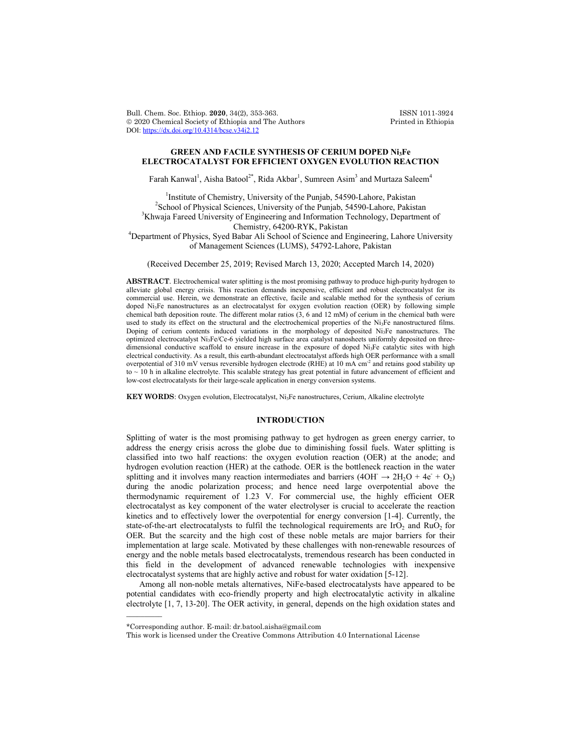Bull. Chem. Soc. Ethiop. **2020**, 34(2), 353-363. ISSN 1011-3924<br>
© 2020 Chemical Society of Ethiopia and The Authors Printed in Ethiopia  $© 2020 Chemical Society of Ethiopia and The Authors$ DOI: https://dx.doi.org/10.4314/bcse.v34i2.12

# **GREEN AND FACILE SYNTHESIS OF CERIUM DOPED Ni3Fe ELECTROCATALYST FOR EFFICIENT OXYGEN EVOLUTION REACTION**

Farah Kanwal<sup>1</sup>, Aisha Batool<sup>2\*</sup>, Rida Akbar<sup>1</sup>, Sumreen Asim<sup>3</sup> and Murtaza Saleem<sup>4</sup>

<sup>1</sup>Institute of Chemistry, University of the Punjab, 54590-Lahore, Pakistan <sup>2</sup>School of Physical Sciences, University of the Punjab, 54500 Lahore, Pakistan  $\textsuperscript{2}$ School of Physical Sciences, University of the Punjab, 54590-Lahore, Pakistan <sup>3</sup>Khwaja Fareed University of Engineering and Information Technology, Department of Chemistry, 64200-RYK, Pakistan <sup>4</sup> Department of Physics, Syed Babar Ali School of Science and Engineering, Lahore University

of Management Sciences (LUMS), 54792-Lahore, Pakistan

(Received December 25, 2019; Revised March 13, 2020; Accepted March 14, 2020)

**ABSTRACT**. Electrochemical water splitting is the most promising pathway to produce high-purity hydrogen to alleviate global energy crisis. This reaction demands inexpensive, efficient and robust electrocatalyst for its commercial use. Herein, we demonstrate an effective, facile and scalable method for the synthesis of cerium doped Ni3Fe nanostructures as an electrocatalyst for oxygen evolution reaction (OER) by following simple chemical bath deposition route. The different molar ratios (3, 6 and 12 mM) of cerium in the chemical bath were used to study its effect on the structural and the electrochemical properties of the Ni<sub>3</sub>Fe nanostructured films. Doping of cerium contents induced variations in the morphology of deposited Ni<sub>3</sub>Fe nanostructures. The optimized electrocatalyst Ni3Fe/Ce-6 yielded high surface area catalyst nanosheets uniformly deposited on threedimensional conductive scaffold to ensure increase in the exposure of doped Ni3Fe catalytic sites with high electrical conductivity. As a result, this earth-abundant electrocatalyst affords high OER performance with a small overpotential of 310 mV versus reversible hydrogen electrode (RHE) at 10 mA cm<sup>-2</sup> and retains good stability up to  $\sim$  10 h in alkaline electrolyte. This scalable strategy has great potential in future advancement of efficient and low-cost electrocatalysts for their large-scale application in energy conversion systems.

**KEY WORDS**: Oxygen evolution, Electrocatalyst, Ni<sub>3</sub>Fe nanostructures, Cerium, Alkaline electrolyte

# **INTRODUCTION**

Splitting of water is the most promising pathway to get hydrogen as green energy carrier, to address the energy crisis across the globe due to diminishing fossil fuels. Water splitting is classified into two half reactions: the oxygen evolution reaction (OER) at the anode; and hydrogen evolution reaction (HER) at the cathode. OER is the bottleneck reaction in the water splitting and it involves many reaction intermediates and barriers (4OH  $\rightarrow$  2H<sub>2</sub>O + 4e<sup>+</sup> + O<sub>2</sub>) during the anodic polarization process; and hence need large overpotential above the thermodynamic requirement of 1.23 V. For commercial use, the highly efficient OER electrocatalyst as key component of the water electrolyser is crucial to accelerate the reaction kinetics and to effectively lower the overpotential for energy conversion [1-4]. Currently, the state-of-the-art electrocatalysts to fulfil the technological requirements are  $IrO<sub>2</sub>$  and  $RuO<sub>2</sub>$  for OER. But the scarcity and the high cost of these noble metals are major barriers for their implementation at large scale. Motivated by these challenges with non-renewable resources of energy and the noble metals based electrocatalysts, tremendous research has been conducted in this field in the development of advanced renewable technologies with inexpensive electrocatalyst systems that are highly active and robust for water oxidation [5-12].

Among all non-noble metals alternatives, NiFe-based electrocatalysts have appeared to be potential candidates with eco-friendly property and high electrocatalytic activity in alkaline electrolyte [1, 7, 13-20]. The OER activity, in general, depends on the high oxidation states and

 $\overline{\phantom{a}}$ 

<sup>\*</sup>Corresponding author. E-mail: dr.batool.aisha@gmail.com

This work is licensed under the Creative Commons Attribution 4.0 International License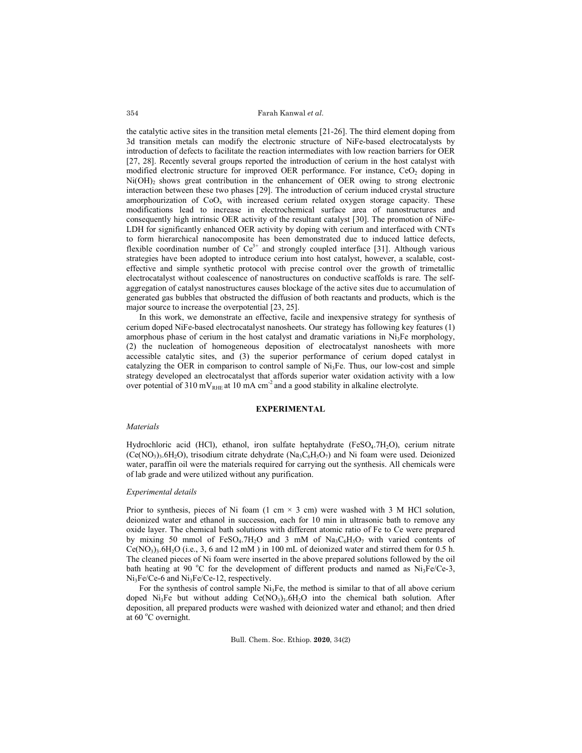the catalytic active sites in the transition metal elements [21-26]. The third element doping from 3d transition metals can modify the electronic structure of NiFe-based electrocatalysts by introduction of defects to facilitate the reaction intermediates with low reaction barriers for OER [27, 28]. Recently several groups reported the introduction of cerium in the host catalyst with modified electronic structure for improved OER performance. For instance,  $CeO<sub>2</sub>$  doping in  $Ni(OH)$ <sub>2</sub> shows great contribution in the enhancement of OER owing to strong electronic interaction between these two phases [29]. The introduction of cerium induced crystal structure amorphourization of  $CoO_x$  with increased cerium related oxygen storage capacity. These modifications lead to increase in electrochemical surface area of nanostructures and consequently high intrinsic OER activity of the resultant catalyst [30]. The promotion of NiFe-LDH for significantly enhanced OER activity by doping with cerium and interfaced with CNTs to form hierarchical nanocomposite has been demonstrated due to induced lattice defects, flexible coordination number of  $Ce^{3+}$  and strongly coupled interface [31]. Although various strategies have been adopted to introduce cerium into host catalyst, however, a scalable, costeffective and simple synthetic protocol with precise control over the growth of trimetallic electrocatalyst without coalescence of nanostructures on conductive scaffolds is rare. The selfaggregation of catalyst nanostructures causes blockage of the active sites due to accumulation of generated gas bubbles that obstructed the diffusion of both reactants and products, which is the major source to increase the overpotential [23, 25].

In this work, we demonstrate an effective, facile and inexpensive strategy for synthesis of cerium doped NiFe-based electrocatalyst nanosheets. Our strategy has following key features (1) amorphous phase of cerium in the host catalyst and dramatic variations in  $Ni<sub>3</sub>Fe$  morphology, (2) the nucleation of homogeneous deposition of electrocatalyst nanosheets with more accessible catalytic sites, and (3) the superior performance of cerium doped catalyst in catalyzing the OER in comparison to control sample of  $Ni<sub>3</sub>Fe$ . Thus, our low-cost and simple strategy developed an electrocatalyst that affords superior water oxidation activity with a low over potential of 310 mV<sub>RHE</sub> at 10 mA cm<sup>-2</sup> and a good stability in alkaline electrolyte.

### **EXPERIMENTAL**

### *Materials*

Hydrochloric acid (HCl), ethanol, iron sulfate heptahydrate ( $F \in SO_4$ .7H<sub>2</sub>O), cerium nitrate  $(Ce(NO_3), 6H_2O)$ , trisodium citrate dehydrate  $(Na_3C_6H_3O_7)$  and Ni foam were used. Deionized water, paraffin oil were the materials required for carrying out the synthesis. All chemicals were of lab grade and were utilized without any purification.

## *Experimental details*

Prior to synthesis, pieces of Ni foam  $(1 \text{ cm} \times 3 \text{ cm})$  were washed with 3 M HCl solution, deionized water and ethanol in succession, each for 10 min in ultrasonic bath to remove any oxide layer. The chemical bath solutions with different atomic ratio of Fe to Ce were prepared by mixing 50 mmol of FeSO<sub>4</sub>.7H<sub>2</sub>O and 3 mM of Na<sub>3</sub>C<sub>6</sub>H<sub>3</sub>O<sub>7</sub> with varied contents of  $Ce(NO<sub>3</sub>)<sub>3</sub>$ .6H<sub>2</sub>O (i.e., 3, 6 and 12 mM) in 100 mL of deionized water and stirred them for 0.5 h. The cleaned pieces of Ni foam were inserted in the above prepared solutions followed by the oil bath heating at 90 °C for the development of different products and named as  $Ni<sub>3</sub>Fe/Ce-3$ , Ni<sub>3</sub>Fe/Ce-6 and Ni<sub>3</sub>Fe/Ce-12, respectively.

For the synthesis of control sample Ni<sub>3</sub>Fe, the method is similar to that of all above cerium doped Ni<sub>3</sub>Fe but without adding Ce(NO<sub>3</sub>)<sub>3</sub>.6H<sub>2</sub>O into the chemical bath solution. After deposition, all prepared products were washed with deionized water and ethanol; and then dried at 60 °C overnight.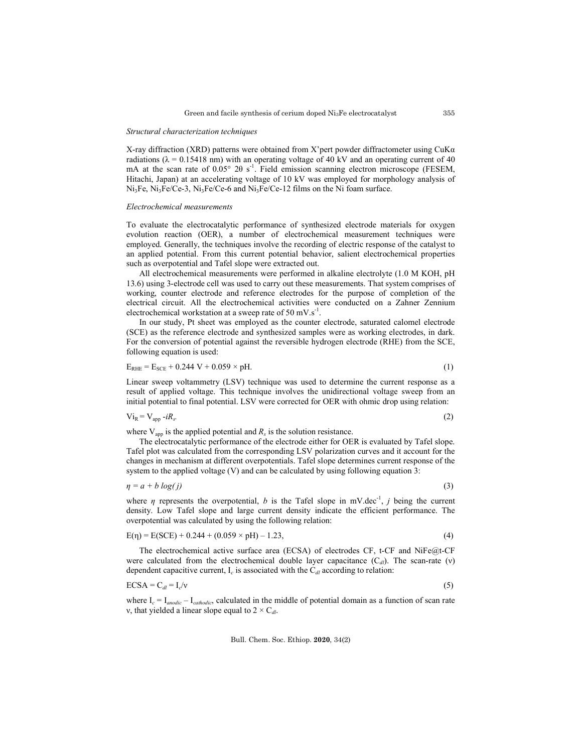#### *Structural characterization techniques*

X-ray diffraction (XRD) patterns were obtained from X'pert powder diffractometer using CuKα radiations ( $\lambda = 0.15418$  nm) with an operating voltage of 40 kV and an operating current of 40 mA at the scan rate of 0.05° 2θ s<sup>-1</sup>. Field emission scanning electron microscope (FESEM, Hitachi, Japan) at an accelerating voltage of 10 kV was employed for morphology analysis of Ni3Fe, Ni3Fe/Ce-3, Ni3Fe/Ce-6 and Ni3Fe/Ce-12 films on the Ni foam surface.

#### *Electrochemical measurements*

To evaluate the electrocatalytic performance of synthesized electrode materials for oxygen evolution reaction (OER), a number of electrochemical measurement techniques were employed. Generally, the techniques involve the recording of electric response of the catalyst to an applied potential. From this current potential behavior, salient electrochemical properties such as overpotential and Tafel slope were extracted out.

All electrochemical measurements were performed in alkaline electrolyte (1.0 M KOH, pH 13.6) using 3-electrode cell was used to carry out these measurements. That system comprises of working, counter electrode and reference electrodes for the purpose of completion of the electrical circuit. All the electrochemical activities were conducted on a Zahner Zennium electrochemical workstation at a sweep rate of 50 mV.s<sup>-1</sup>.

In our study, Pt sheet was employed as the counter electrode, saturated calomel electrode (SCE) as the reference electrode and synthesized samples were as working electrodes, in dark. For the conversion of potential against the reversible hydrogen electrode (RHE) from the SCE, following equation is used:

$$
E_{RHE} = E_{SCE} + 0.244 V + 0.059 \times pH.
$$
 (1)

Linear sweep voltammetry (LSV) technique was used to determine the current response as a result of applied voltage. This technique involves the unidirectional voltage sweep from an initial potential to final potential. LSV were corrected for OER with ohmic drop using relation:

$$
Vi_R = V_{app} - iR_s. \tag{2}
$$

where  $V_{app}$  is the applied potential and  $R_s$  is the solution resistance.

The electrocatalytic performance of the electrode either for OER is evaluated by Tafel slope. Tafel plot was calculated from the corresponding LSV polarization curves and it account for the changes in mechanism at different overpotentials. Tafel slope determines current response of the system to the applied voltage (V) and can be calculated by using following equation 3:

 $\eta = a + b \log(j)$  (3)

where  $\eta$  represents the overpotential, *b* is the Tafel slope in mV.dec<sup>-1</sup>, *j* being the current density. Low Tafel slope and large current density indicate the efficient performance. The overpotential was calculated by using the following relation:

$$
E(\eta) = E(SCE) + 0.244 + (0.059 \times pH) - 1.23,
$$
\n(4)

The electrochemical active surface area (ECSA) of electrodes CF, t-CF and NiFe@t-CF were calculated from the electrochemical double layer capacitance (C<sub>dl</sub>). The scan-rate (ν) dependent capacitive current,  $I_c$  is associated with the  $C_d$  according to relation:

$$
ECSA = C_{dl} = I_c/v \tag{5}
$$

where I*<sup>c</sup>* = I*anodic* – I*cathodic*, calculated in the middle of potential domain as a function of scan rate v, that yielded a linear slope equal to  $2 \times C_{dl}$ .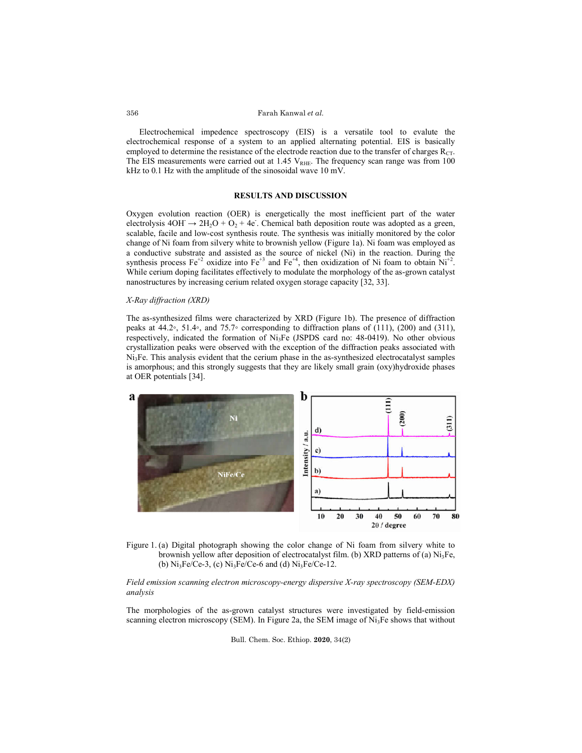Electrochemical impedence spectroscopy (EIS) is a versatile tool to evalute the electrochemical response of a system to an applied alternating potential. EIS is basically employed to determine the resistance of the electrode reaction due to the transfer of charges  $R<sub>CT</sub>$ . electrochemical response of a system to an applied alternating potential. EIS is basically employed to determine the resistance of the electrode reaction due to the transfer of charges  $R_{CT}$ . The EIS measurements were ca kHz to 0.1 Hz with the amplitude of the sinosoidal wave 10 mV. behemical impedence spectroscopy (EIS) is a versatile tool to evalute the mical response of a system to an applied alternating potential. EIS is basically to determine the resistance of the electrode reaction due to the t

## **RESULTS AND DISCUSSION**

Oxygen evolution reaction (OER) is energetically the most inefficient part of the water electrolysis  $4OH \rightarrow 2H_2O + O_2 + 4e$ . Chemical bath deposition route was adopted as a green, electrolysis  $4OH \rightarrow 2H_2O + O_2 + 4e$ . Chemical bath deposition route was adopted as a green, scalable, facile and low-cost synthesis route. The synthesis was initially monitored by the color scalable, facile and low-cost synthesis route. The synthesis was initially monitored by the color<br>change of Ni foam from silvery white to brownish yellow (Figure 1a). Ni foam was employed as a conductive substrate and assisted as the source of nickel (Ni) in the reaction. During the synthesis process  $Fe^{+2}$  oxidize into  $Fe^{+3}$  and  $Fe^{+4}$ , then oxidization of Ni foam to obtain While cerium doping facilitates effectively to modulate the morphology of the as-grown catalyst nanostructures by increasing cerium related oxygen storage capacity [32, 33]. out at 1.45 V<sub>RHE</sub>. The frequency scan range was from 100<br>
ie sinosoidal wave 10 mV.<br> **LTS AND DISCUSSION**<br>
s energetically the most inefficient part of the water<br>
. Chemical bath deposition route was adopted as a green,<br>

# *X-Ray diffraction (XRD)*

The as-synthesized films were characterized by XRD (Figure 1b). The presence of diffraction The as-synthesized films were characterized by XRD (Figure 1b). The presence of diffraction peaks at 44.2◦, 51.4◦, and 75.7◦ corresponding to diffraction plans of (111), (200) and (311) respectively, indicated the formation of Ni<sub>3</sub>Fe (JSPDS card no: 48-0419). No other obvious crystallization peaks were observed with the exception of the diffraction peaks associated with Ni<sub>3</sub>Fe. This analysis evident that the cerium phase in the as-synthesized electrocatalyst samples is amorphous; and this strongly suggests that they are likely small grain (oxy)hydroxide phases at OER potentials [34]. effectively to modulate the morphology of the as-grown catalyst<br>
ium related oxygen storage capacity [32, 33].<br>
characterized by XRD (Figure 1b). The presence of diffraction<br>
∘ corresponding to diffraction plans of (111),



Figure 1. (a) Digital photograph showing the color change of Ni foam from silvery white to (a) Digital photograph showing the color change of Ni foam from silvery whit<br>brownish yellow after deposition of electrocatalyst film. (b) XRD patterns of (a) Ni (b)  $Ni_3Fe/Ce-3$ , (c)  $Ni_3Fe/Ce-6$  and (d)  $Ni_3Fe/Ce-12$ .

*Field emission scanning electron microscopy-energy dispersive X-ray spectroscopy (SEM-(SEM-EDX) analysis*

The morphologies of the as-grown catalyst structures were investigated by field-emission scanning electron microscopy (SEM). In Figure 2a, the SEM image of Ni<sub>3</sub>Fe shows that without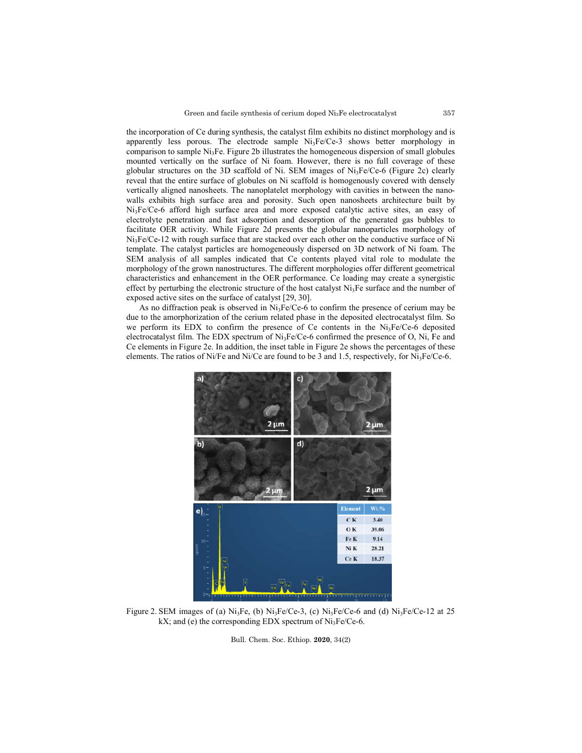the incorporation of Ce during synthesis, the catalyst film exhibits no distinct morphology and is apparently less porous. The electrode sample Ni<sub>3</sub>Fe/Ce-3 shows better morphology in comparison to sample Ni<sub>3</sub>Fe. Figure 2b illustrates the homogeneous dispersion of small globules mounted vertically on the surface of Ni foam. However, there is no full coverage of these globular structures on the 3D scaffold of Ni. SEM images of Ni<sub>3</sub>Fe/Ce-6 (Figure 2c) clearly reveal that the entire surface of globules on Ni scaffold is homogenously covered with densely vertically aligned nanosheets. The nanoplatelet morphology with cavities in between the nano walls exhibits high surface area and porosity. Such open nanosheets architecture built by walls exhibits high surface area and porosity. Such open nanosheets architecture built by Ni<sub>3</sub>Fe/Ce-6 afford high surface area and more exposed catalytic active sites, an easy of electrolyte penetration and fast adsorption and desorption of the generated gas bubbles to electrolyte penetration and fast adsorption and desorption of the generated gas bubbles to<br>facilitate OER activity. While Figure 2d presents the globular nanoparticles morphology of  $Ni<sub>3</sub>Fe/Ce-12$  with rough surface that are stacked over each other on the conductive surface of Ni template. The catalyst particles are homogeneously dispersed on 3D network of Ni foam. Ni<sub>3</sub>Fe/Ce-12 with rough surface that are stacked over each other on the conductive surface of Ni<br>template. The catalyst particles are homogeneously dispersed on 3D network of Ni foam. The<br>SEM analysis of all samples indic morphology of the grown nanostructures. The different morphologies offer different geometrical characteristics and enhancement in the OER performance. Ce loading may create a synergistic effect by perturbing the electronic structure of the host catalyst Ni<sub>3</sub>Fe surface and the number of exposed active sites on the surface of catalyst [29, 30]. incorporation of Ce during synthesis, the catalyst film exhibits no distinct morphology and is<br>arently less porous. The electrode sample  $Ni_3Fe/Ce-3$  shows better morphology in<br>parison to sample  $Ni_3Fe$ . Figure 2b illustrate high surface area and porosity. Such open nanosheets architecture built by ford high surface area and more exposed catalytic active sites, an easy of netration and fast adsorption and desorption of the generated gas bubble

As no diffraction peak is observed in  $Ni<sub>3</sub>Fe/Ce-6$  to confirm the presence of cerium may be due to the amorphorization of the cerium related phase in the deposited electrocatalyst film. So we perform its EDX to confirm the presence of Ce contents in the Ni3Fe/Ce-6 deposited electrocatalyst film. The EDX spectrum of Ni<sub>3</sub>Fe/Ce-6 confirmed the presence of O, Ni, Fe and Ce elements in Figure 2e. In addition, the inset table in Figure 2e shows the percentages of these elements. The ratios of Ni/Fe and Ni/Ce are found to be 3 and 1.5, respectively, for Ni<sub>3</sub>Fe/Ce Ce contents played vital role to modulate the different morphologies offer different geometrical performance. Ce loading may create a synergistic the host catalyst  $Ni_3Fe$  surface and the number of 29, 30].  $e$ /Ce-6 to con



Figure 2. SEM images of (a)  $Ni<sub>3</sub>Fe$ , (b)  $Ni<sub>3</sub>Fe/Ce-3$ , (c)  $Ni<sub>3</sub>Fe/Ce-6$  and (d)  $Ni<sub>3</sub>Fe/Ce-12$  at 25 kX; and (e) the corresponding EDX spectrum of Ni3Fe/Ce-6.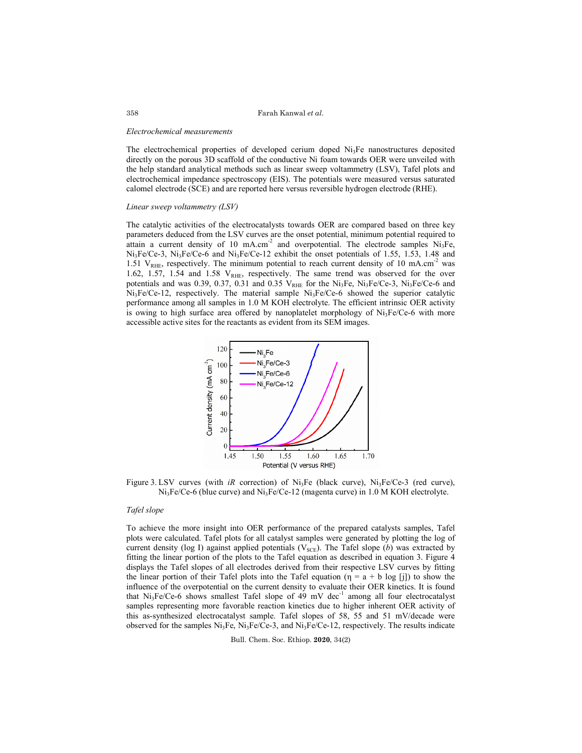#### *Electrochemical measurements*

The electrochemical properties of developed cerium doped  $Ni<sub>3</sub>Fe$  nanostructures deposited directly on the porous 3D scaffold of the conductive Ni foam towards OER were unveiled with the help standard analytical methods such as linear sweep voltammetry (LSV), Tafel plots and electrochemical impedance spectroscopy (EIS). The potentials were measured versus saturated calomel electrode (SCE) and are reported here versus reversible hydrogen electrode (RHE).

# *Linear sweep voltammetry (LSV)*

The catalytic activities of the electrocatalysts towards OER are compared based on three key parameters deduced from the LSV curves are the onset potential, minimum potential required to attain a current density of 10 mA.cm<sup>-2</sup> and overpotential. The electrode samples  $Ni<sub>3</sub>Fe$ ,  $Ni<sub>3</sub>Fe/Ce-3$ ,  $Ni<sub>3</sub>Fe/Ce-6$  and  $Ni<sub>3</sub>Fe/Ce-12$  exhibit the onset potentials of 1.55, 1.53, 1.48 and 1.51  $V_{RHE}$ , respectively. The minimum potential to reach current density of 10 mA.cm<sup>-2</sup> was 1.62, 1.57, 1.54 and 1.58  $V_{RHE}$ , respectively. The same trend was observed for the over potentials and was 0.39, 0.37, 0.31 and 0.35  $V_{RHE}$  for the Ni<sub>3</sub>Fe, Ni<sub>3</sub>Fe/Ce-3, Ni<sub>3</sub>Fe/Ce-6 and  $Ni<sub>3</sub>Fe/Ce-12$ , respectively. The material sample  $Ni<sub>3</sub>Fe/Ce-6$  showed the superior catalytic performance among all samples in 1.0 M KOH electrolyte. The efficient intrinsic OER activity is owing to high surface area offered by nanoplatelet morphology of  $Ni<sub>3</sub>Fe/Ce-6$  with more accessible active sites for the reactants as evident from its SEM images.



Figure 3. LSV curves (with *iR* correction) of  $Ni<sub>3</sub>Fe$  (black curve),  $Ni<sub>3</sub>Fe/Ce-3$  (red curve), Ni3Fe/Ce-6 (blue curve) and Ni3Fe/Ce-12 (magenta curve) in 1.0 M KOH electrolyte.

### *Tafel slope*

To achieve the more insight into OER performance of the prepared catalysts samples, Tafel plots were calculated. Tafel plots for all catalyst samples were generated by plotting the log of current density (log I) against applied potentials (V<sub>SCE</sub>). The Tafel slope (b) was extracted by fitting the linear portion of the plots to the Tafel equation as described in equation 3. Figure 4 displays the Tafel slopes of all electrodes derived from their respective LSV curves by fitting the linear portion of their Tafel plots into the Tafel equation ( $\eta = a + b \log$  [j]) to show the influence of the overpotential on the current density to evaluate their OER kinetics. It is found that  $Ni<sub>3</sub>Fe/Ce-6$  shows smallest Tafel slope of 49 mV dec<sup>-1</sup> among all four electrocatalyst samples representing more favorable reaction kinetics due to higher inherent OER activity of this as-synthesized electrocatalyst sample. Tafel slopes of 58, 55 and 51 mV/decade were observed for the samples  $Ni<sub>3</sub>Fe$ ,  $Ni<sub>3</sub>Fe/Ce-3$ , and  $Ni<sub>3</sub>Fe/Ce-12$ , respectively. The results indicate

Bull. Chem. Soc. Ethiop. **2020**, 34(2)

358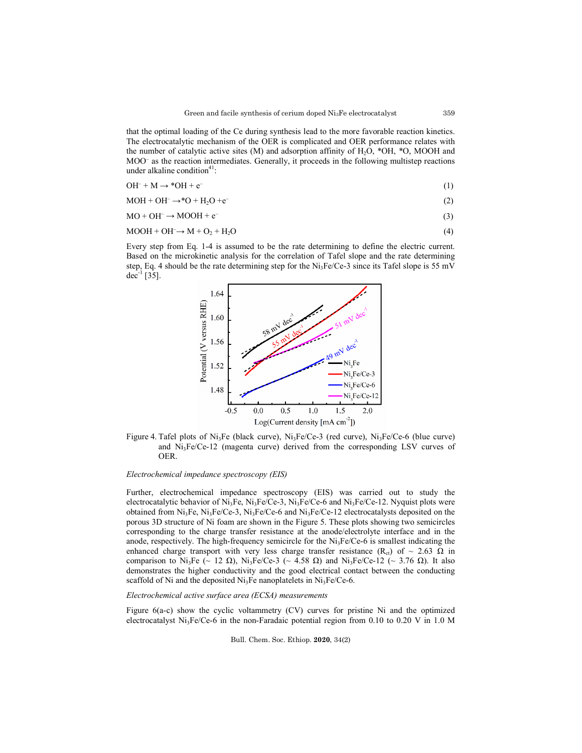that the optimal loading of the Ce during synthesis lead to the more favorable reaction kinetics. The electrocatalytic mechanism of the OER is complicated and OER performance relates with the number of catalytic active sites (M) and adsorption affinity of  $H_2O$ , \*OH, \*O, MOOH and MOO⁻ as the reaction intermediates. Generally, it proceeds in the following multistep reactions under alkaline condition $41$ :

$$
OH^{-} + M \rightarrow {}^{*}OH + e^{-}
$$
 (1)

$$
MOH + OH^- \rightarrow^*O + H_2O + e^-
$$
 (2)

 $MO + OH^- \rightarrow MOOH + e^-$  (3)

$$
MOOH + OH^- \rightarrow M + O_2 + H_2O
$$
\n<sup>(4)</sup>

Every step from Eq. 1-4 is assumed to be the rate determining to define the electric current. Based on the microkinetic analysis for the correlation of Tafel slope and the rate determining step, Eq. 4 should be the rate determining step for the Ni<sub>3</sub>Fe/Ce-3 since its Tafel slope is 55 mV dec<sup>-1</sup> [35].



Figure 4. Tafel plots of  $Ni<sub>3</sub>Fe$  (black curve),  $Ni<sub>3</sub>Fe/Ce-3$  (red curve),  $Ni<sub>3</sub>Fe/Ce-6$  (blue curve) and  $Ni<sub>3</sub>Fe/Ce-12$  (magenta curve) derived from the corresponding LSV curves of OER.

### *Electrochemical impedance spectroscopy (EIS)*

Further, electrochemical impedance spectroscopy (EIS) was carried out to study the electrocatalytic behavior of Ni<sub>3</sub>Fe, Ni<sub>3</sub>Fe/Ce-3, Ni<sub>3</sub>Fe/Ce-6 and Ni<sub>3</sub>Fe/Ce-12. Nyquist plots were obtained from Ni<sub>3</sub>Fe, Ni<sub>3</sub>Fe/Ce-3, Ni<sub>3</sub>Fe/Ce-6 and Ni<sub>3</sub>Fe/Ce-12 electrocatalysts deposited on the porous 3D structure of Ni foam are shown in the Figure 5. These plots showing two semicircles corresponding to the charge transfer resistance at the anode/electrolyte interface and in the anode, respectively. The high-frequency semicircle for the  $Ni<sub>3</sub>Fe/Ce-6$  is smallest indicating the enhanced charge transport with very less charge transfer resistance (R<sub>ct</sub>) of ~ 2.63  $\Omega$  in comparison to Ni<sub>3</sub>Fe (~ 12 Ω), Ni<sub>3</sub>Fe/Ce-3 (~ 4.58 Ω) and Ni<sub>3</sub>Fe/Ce-12 (~ 3.76 Ω). It also demonstrates the higher conductivity and the good electrical contact between the conducting scaffold of Ni and the deposited Ni<sub>3</sub>Fe nanoplatelets in Ni<sub>3</sub>Fe/Ce-6.

## *Electrochemical active surface area (ECSA) measurements*

Figure 6(a-c) show the cyclic voltammetry (CV) curves for pristine Ni and the optimized electrocatalyst Ni<sub>3</sub>Fe/Ce-6 in the non-Faradaic potential region from 0.10 to 0.20 V in 1.0 M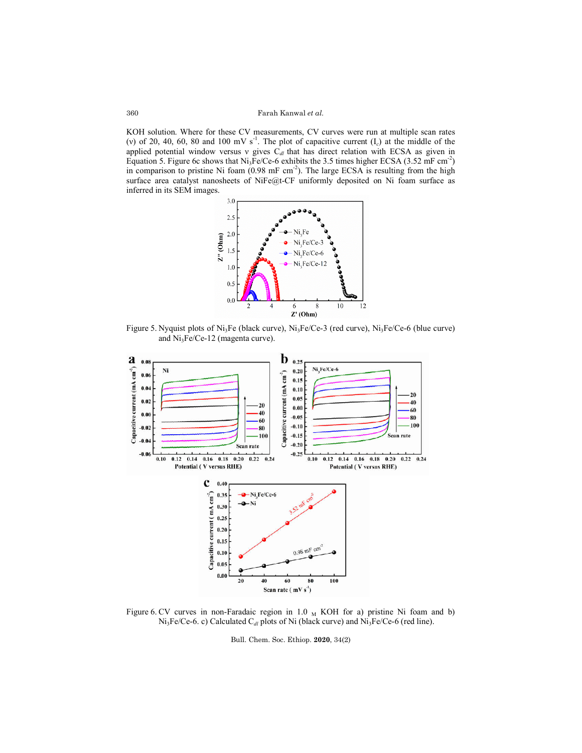KOH solution. Where for these CV measurements, CV curves were run at multiple scan rates KOH solution. Where for these CV measurements, CV curves were run at multiple scan rates (v) of 20, 40, 60, 80 and 100 mV s<sup>-1</sup>. The plot of capacitive current ( $I_c$ ) at the middle of the applied potential window versus v gives  $C_{d}$  that has direct relation with ECSA as given in Equation 5. Figure 6c shows that  $Ni<sub>3</sub>Fe/Ce-6$  exhibits the 3.5 times higher ECSA (3.52 mF cm<sup>-2</sup>) in comparison to pristine Ni foam  $(0.98 \text{ mF cm}^2)$ . The large ECSA is resulting from the high surface area catalyst nanosheets of NiFe@t-CF uniformly deposited on Ni foam surface as inferred in its SEM images. solution. Where for these CV measurements, CV curves were run at multiple scan rate 20, 40, 60, 80 and 100 mV s<sup>-1</sup>. The plot of capacitive current ( $I_c$ ) at the middle of the potential window versus v gives  $C_{dl}$  that h



Figure 5. Nyquist plots of Ni<sub>3</sub>Fe (black curve), Ni<sub>3</sub>Fe/Ce-3 (red curve), Ni<sub>3</sub>Fe/Ce-6 (blue curve) and Ni3Fe/Ce-12 (magenta curve).



Figure 6. CV curves in non-Faradaic region in 1.0  $_M$  KOH for a) pristine Ni foam and b) Ni<sub>3</sub>Fe/Ce-6. c) Calculated C<sub>dl</sub> plots of Ni (black curve) and Ni<sub>3</sub>Fe/Ce-6 (red line).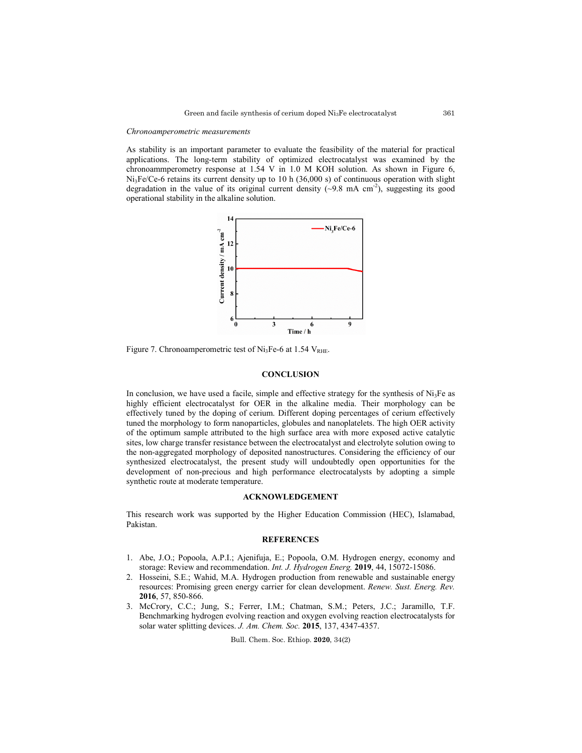#### *Chronoamperometric measurements*

As stability is an important parameter to evaluate the feasibility of the material for practical applications. The long-term stability of optimized electrocatalyst was examined by the chronoammperometry response at 1.54 V in 1.0 M KOH solution. As shown in Figure 6, Ni3Fe/Ce-6 retains its current density up to 10 h (36,000 s) of continuous operation with slight degradation in the value of its original current density  $(\sim 9.8 \text{ mA cm}^{-2})$ , suggesting its good operational stability in the alkaline solution.



Figure 7. Chronoamperometric test of  $Ni<sub>3</sub>Fe-6$  at 1.54  $V<sub>RHE</sub>$ .

# **CONCLUSION**

In conclusion, we have used a facile, simple and effective strategy for the synthesis of  $Ni<sub>3</sub>Fe$  as highly efficient electrocatalyst for OER in the alkaline media. Their morphology can be effectively tuned by the doping of cerium. Different doping percentages of cerium effectively tuned the morphology to form nanoparticles, globules and nanoplatelets. The high OER activity of the optimum sample attributed to the high surface area with more exposed active catalytic sites, low charge transfer resistance between the electrocatalyst and electrolyte solution owing to the non-aggregated morphology of deposited nanostructures. Considering the efficiency of our synthesized electrocatalyst, the present study will undoubtedly open opportunities for the development of non-precious and high performance electrocatalysts by adopting a simple synthetic route at moderate temperature.

# **ACKNOWLEDGEMENT**

This research work was supported by the Higher Education Commission (HEC), Islamabad, Pakistan.

## **REFERENCES**

- 1. Abe, J.O.; Popoola, A.P.I.; Ajenifuja, E.; Popoola, O.M. Hydrogen energy, economy and storage: Review and recommendation. *Int. J. Hydrogen Energ.* **2019**, 44, 15072-15086.
- 2. Hosseini, S.E.; Wahid, M.A. Hydrogen production from renewable and sustainable energy resources: Promising green energy carrier for clean development. *Renew. Sust. Energ. Rev.* **2016**, 57, 850-866.
- 3. McCrory, C.C.; Jung, S.; Ferrer, I.M.; Chatman, S.M.; Peters, J.C.; Jaramillo, T.F. Benchmarking hydrogen evolving reaction and oxygen evolving reaction electrocatalysts for solar water splitting devices. *J. Am. Chem. Soc.* **2015**, 137, 4347-4357.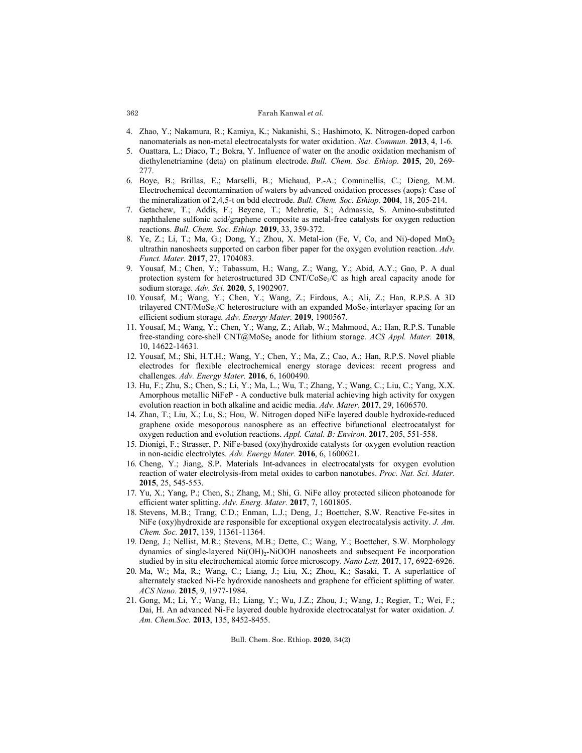- 4. Zhao, Y.; Nakamura, R.; Kamiya, K.; Nakanishi, S.; Hashimoto, K. Nitrogen-doped carbon nanomaterials as non-metal electrocatalysts for water oxidation. *Nat. Commun.* **2013**, 4, 1-6.
- 5. Ouattara, L.; Diaco, T.; Bokra, Y. Influence of water on the anodic oxidation mechanism of diethylenetriamine (deta) on platinum electrode. *Bull. Chem. Soc. Ethiop*. **2015**, 20, 269- 277.
- 6. Boye, B.; Brillas, E.; Marselli, B.; Michaud, P.-A.; Comninellis, C.; Dieng, M.M. Electrochemical decontamination of waters by advanced oxidation processes (aops): Case of the mineralization of 2,4,5-t on bdd electrode. *Bull. Chem. Soc. Ethiop.* **2004**, 18, 205-214.
- 7. Getachew, T.; Addis, F.; Beyene, T.; Mehretie, S.; Admassie, S. Amino-substituted naphthalene sulfonic acid/graphene composite as metal-free catalysts for oxygen reduction reactions. *Bull. Chem. Soc. Ethiop.* **2019**, 33, 359-372.
- 8. Ye, Z.; Li, T.; Ma, G.; Dong, Y.; Zhou, X. Metal-ion (Fe, V, Co, and Ni)-doped MnO<sub>2</sub> ultrathin nanosheets supported on carbon fiber paper for the oxygen evolution reaction. *Adv. Funct. Mater.* **2017**, 27, 1704083.
- 9. Yousaf, M.; Chen, Y.; Tabassum, H.; Wang, Z.; Wang, Y.; Abid, A.Y.; Gao, P. A dual protection system for heterostructured 3D CNT/CoSe<sub>2</sub>/C as high areal capacity anode for sodium storage. *Adv. Sci*. **2020**, 5, 1902907.
- 10. Yousaf, M.; Wang, Y.; Chen, Y.; Wang, Z.; Firdous, A.; Ali, Z.; Han, R.P.S. A 3D trilayered CNT/MoSe<sub>2</sub>/C heterostructure with an expanded MoSe<sub>2</sub> interlayer spacing for an efficient sodium storage*. Adv. Energy Mater.* **2019**, 1900567.
- 11. Yousaf, M.; Wang, Y.; Chen, Y.; Wang, Z.; Aftab, W.; Mahmood, A.; Han, R.P.S. Tunable free-standing core-shell CNT@MoSe<sub>2</sub> anode for lithium storage. *ACS Appl. Mater.* **2018**, 10, 14622-14631*.*
- 12. Yousaf, M.; Shi, H.T.H.; Wang, Y.; Chen, Y.; Ma, Z.; Cao, A.; Han, R.P.S. Novel pliable electrodes for flexible electrochemical energy storage devices: recent progress and challenges. *Adv. Energy Mater.* **2016**, 6, 1600490.
- 13. Hu, F.; Zhu, S.; Chen, S.; Li, Y.; Ma, L.; Wu, T.; Zhang, Y.; Wang, C.; Liu, C.; Yang, X.X. Amorphous metallic NiFeP - A conductive bulk material achieving high activity for oxygen evolution reaction in both alkaline and acidic media. *Adv. Mater.* **2017**, 29, 1606570.
- 14. Zhan, T.; Liu, X.; Lu, S.; Hou, W. Nitrogen doped NiFe layered double hydroxide-reduced graphene oxide mesoporous nanosphere as an effective bifunctional electrocatalyst for oxygen reduction and evolution reactions. *Appl. Catal. B: Environ.* **2017**, 205, 551-558.
- 15. Dionigi, F.; Strasser, P. NiFe-based (oxy)hydroxide catalysts for oxygen evolution reaction in non-acidic electrolytes. *Adv. Energy Mater.* **2016**, 6, 1600621.
- 16. Cheng, Y.; Jiang, S.P. Materials Int-advances in electrocatalysts for oxygen evolution reaction of water electrolysis-from metal oxides to carbon nanotubes. *Proc. Nat. Sci. Mater.* **2015**, 25, 545-553.
- 17. Yu, X.; Yang, P.; Chen, S.; Zhang, M.; Shi, G. NiFe alloy protected silicon photoanode for efficient water splitting. *Adv. Energ. Mater.* **2017**, 7, 1601805.
- 18. Stevens, M.B.; Trang, C.D.; Enman, L.J.; Deng, J.; Boettcher, S.W. Reactive Fe-sites in NiFe (oxy)hydroxide are responsible for exceptional oxygen electrocatalysis activity. *J. Am. Chem. Soc.* **2017**, 139, 11361-11364.
- 19. Deng, J.; Nellist, M.R.; Stevens, M.B.; Dette, C.; Wang, Y.; Boettcher, S.W. Morphology dynamics of single-layered  $Ni(OH)_2-NiOOH$  nanosheets and subsequent Fe incorporation studied by in situ electrochemical atomic force microscopy. *Nano Lett.* **2017**, 17, 6922-6926.
- 20. Ma, W.; Ma, R.; Wang, C.; Liang, J.; Liu, X.; Zhou, K.; Sasaki, T. A superlattice of alternately stacked Ni-Fe hydroxide nanosheets and graphene for efficient splitting of water. *ACS Nano*. **2015**, 9, 1977-1984.
- 21. Gong, M.; Li, Y.; Wang, H.; Liang, Y.; Wu, J.Z.; Zhou, J.; Wang, J.; Regier, T.; Wei, F.; Dai, H. An advanced Ni-Fe layered double hydroxide electrocatalyst for water oxidation. *J. Am. Chem.Soc.* **2013**, 135, 8452-8455.

Bull. Chem. Soc. Ethiop. **2020**, 34(2)

#### 362